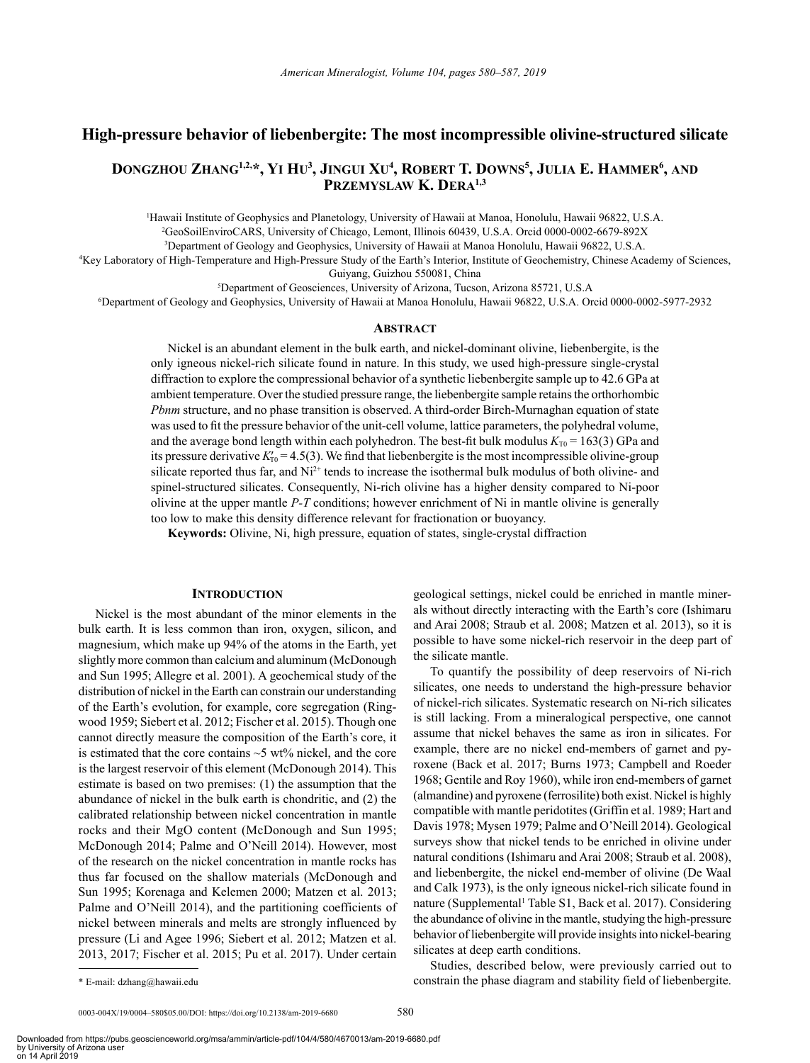# **High-pressure behavior of liebenbergite: The most incompressible olivine-structured silicate**

# **Dongzhou Zhang1,2,\*, Yi Hu3 , Jingui Xu4 , Robert T. Downs5 , Julia E. Hammer6 , and Przemyslaw K. Dera1,3**

1 Hawaii Institute of Geophysics and Planetology, University of Hawaii at Manoa, Honolulu, Hawaii 96822, U.S.A. 2 <sup>2</sup>GeoSoilEnviroCARS, University of Chicago, Lemont, Illinois 60439, U.S.A. Orcid [0000-0002-6679-892X](https://orcid.org/0000-0002-6679-892X)

3 Department of Geology and Geophysics, University of Hawaii at Manoa Honolulu, Hawaii 96822, U.S.A.

4 Key Laboratory of High-Temperature and High-Pressure Study of the Earth's Interior, Institute of Geochemistry, Chinese Academy of Sciences, Guiyang, Guizhou 550081, China

5 Department of Geosciences, University of Arizona, Tucson, Arizona 85721, U.S.A 6 Department of Geology and Geophysics, University of Hawaii at Manoa Honolulu, Hawaii 96822, U.S.A. Orcid [0000-0002-5977-2932](https://orcid.org/0000-0002-5977-2932)

## **Abstract**

Nickel is an abundant element in the bulk earth, and nickel-dominant olivine, liebenbergite, is the only igneous nickel-rich silicate found in nature. In this study, we used high-pressure single-crystal diffraction to explore the compressional behavior of a synthetic liebenbergite sample up to 42.6 GPa at ambient temperature. Over the studied pressure range, the liebenbergite sample retains the orthorhombic *Pbnm* structure, and no phase transition is observed. A third-order Birch-Murnaghan equation of state was used to fit the pressure behavior of the unit-cell volume, lattice parameters, the polyhedral volume, and the average bond length within each polyhedron. The best-fit bulk modulus  $K_{T0} = 163(3)$  GPa and its pressure derivative  $K_{T0}^{\prime} = 4.5(3)$ . We find that liebenbergite is the most incompressible olivine-group silicate reported thus far, and  $Ni<sup>2+</sup>$  tends to increase the isothermal bulk modulus of both olivine- and spinel-structured silicates. Consequently, Ni-rich olivine has a higher density compared to Ni-poor olivine at the upper mantle *P-T* conditions; however enrichment of Ni in mantle olivine is generally too low to make this density difference relevant for fractionation or buoyancy.

**Keywords:** Olivine, Ni, high pressure, equation of states, single-crystal diffraction

# **INTRODUCTION**

Nickel is the most abundant of the minor elements in the bulk earth. It is less common than iron, oxygen, silicon, and magnesium, which make up 94% of the atoms in the Earth, yet slightly more common than calcium and aluminum (McDonough and Sun 1995; Allegre et al. 2001). A geochemical study of the distribution of nickel in the Earth can constrain our understanding of the Earth's evolution, for example, core segregation (Ringwood 1959; Siebert et al. 2012; Fischer et al. 2015). Though one cannot directly measure the composition of the Earth's core, it is estimated that the core contains  $\sim$  5 wt% nickel, and the core is the largest reservoir of this element (McDonough 2014). This estimate is based on two premises: (1) the assumption that the abundance of nickel in the bulk earth is chondritic, and (2) the calibrated relationship between nickel concentration in mantle rocks and their MgO content (McDonough and Sun 1995; McDonough 2014; Palme and O'Neill 2014). However, most of the research on the nickel concentration in mantle rocks has thus far focused on the shallow materials (McDonough and Sun 1995; Korenaga and Kelemen 2000; Matzen et al. 2013; Palme and O'Neill 2014), and the partitioning coefficients of nickel between minerals and melts are strongly influenced by pressure (Li and Agee 1996; Siebert et al. 2012; Matzen et al. 2013, 2017; Fischer et al. 2015; Pu et al. 2017). Under certain geological settings, nickel could be enriched in mantle minerals without directly interacting with the Earth's core (Ishimaru and Arai 2008; Straub et al. 2008; Matzen et al. 2013), so it is possible to have some nickel-rich reservoir in the deep part of the silicate mantle.

To quantify the possibility of deep reservoirs of Ni-rich silicates, one needs to understand the high-pressure behavior of nickel-rich silicates. Systematic research on Ni-rich silicates is still lacking. From a mineralogical perspective, one cannot assume that nickel behaves the same as iron in silicates. For example, there are no nickel end-members of garnet and pyroxene (Back et al. 2017; Burns 1973; Campbell and Roeder 1968; Gentile and Roy 1960), while iron end-members of garnet (almandine) and pyroxene (ferrosilite) both exist. Nickel is highly compatible with mantle peridotites (Griffin et al. 1989; Hart and Davis 1978; Mysen 1979; Palme and O'Neill 2014). Geological surveys show that nickel tends to be enriched in olivine under natural conditions (Ishimaru and Arai 2008; Straub et al. 2008), and liebenbergite, the nickel end-member of olivine (De Waal and Calk 1973), is the only igneous nickel-rich silicate found in nature (Supplemental<sup>1</sup> Table S1, Back et al. 2017). Considering the abundance of olivine in the mantle, studying the high-pressure behavior of liebenbergite will provide insights into nickel-bearing silicates at deep earth conditions.

Studies, described below, were previously carried out to constrain the phase diagram and stability field of liebenbergite.

<sup>\*</sup> E-mail: dzhang@hawaii.edu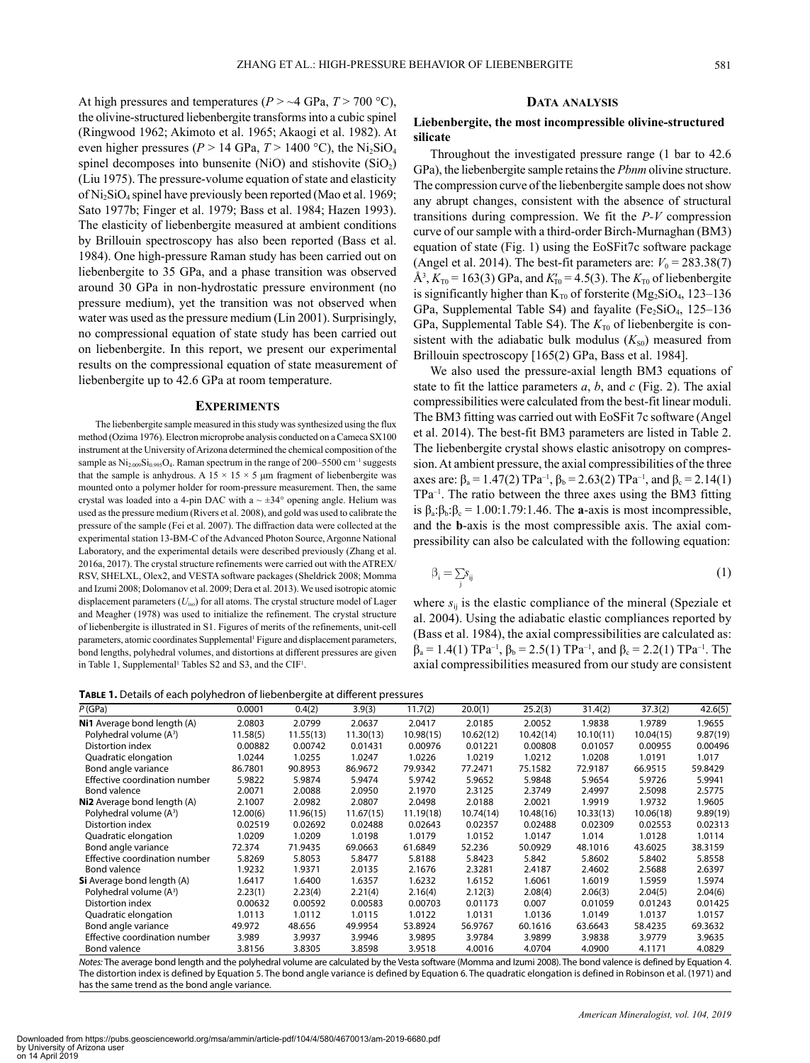At high pressures and temperatures ( $P > \sim 4$  GPa,  $T > 700$  °C), the olivine-structured liebenbergite transforms into a cubic spinel (Ringwood 1962; Akimoto et al. 1965; Akaogi et al. 1982). At even higher pressures ( $P > 14$  GPa,  $T > 1400$  °C), the Ni<sub>2</sub>SiO<sub>4</sub> spinel decomposes into bunsenite (NiO) and stishovite  $(SiO<sub>2</sub>)$ (Liu 1975). The pressure-volume equation of state and elasticity of  $Ni<sub>2</sub>SiO<sub>4</sub>$  spinel have previously been reported (Mao et al. 1969; Sato 1977b; Finger et al. 1979; Bass et al. 1984; Hazen 1993). The elasticity of liebenbergite measured at ambient conditions by Brillouin spectroscopy has also been reported (Bass et al. 1984). One high-pressure Raman study has been carried out on liebenbergite to 35 GPa, and a phase transition was observed around 30 GPa in non-hydrostatic pressure environment (no pressure medium), yet the transition was not observed when water was used as the pressure medium (Lin 2001). Surprisingly, no compressional equation of state study has been carried out on liebenbergite. In this report, we present our experimental results on the compressional equation of state measurement of liebenbergite up to 42.6 GPa at room temperature.

### **Experiments**

The liebenbergite sample measured in this study was synthesized using the flux method (Ozima 1976). Electron microprobe analysis conducted on a Cameca SX100 instrument at the University of Arizona determined the chemical composition of the sample as  $Ni_{2.009}Si_{0.995}O_4$ . Raman spectrum in the range of 200–5500 cm<sup>-1</sup> suggests that the sample is anhydrous. A 15  $\times$  15  $\times$  5 µm fragment of liebenbergite was mounted onto a polymer holder for room-pressure measurement. Then, the same crystal was loaded into a 4-pin DAC with a  $\sim \pm 34^{\circ}$  opening angle. Helium was used as the pressure medium (Rivers et al. 2008), and gold was used to calibrate the pressure of the sample (Fei et al. 2007). The diffraction data were collected at the experimental station 13-BM-C of the Advanced Photon Source, Argonne National Laboratory, and the experimental details were described previously (Zhang et al. 2016a, 2017). The crystal structure refinements were carried out with the ATREX/ RSV, SHELXL, Olex2, and VESTA software packages (Sheldrick 2008; Momma and Izumi 2008; Dolomanov et al. 2009; Dera et al. 2013). We used isotropic atomic displacement parameters ( $U_{\text{iso}}$ ) for all atoms. The crystal structure model of Lager and Meagher (1978) was used to initialize the refinement. The crystal structure of liebenbergite is illustrated in S1. Figures of merits of the refinements, unit-cell parameters, atomic coordinates Supplemental<sup>1</sup> Figure and displacement parameters, bond lengths, polyhedral volumes, and distortions at different pressures are given in Table 1, Supplemental<sup>1</sup> Tables S2 and S3, and the CIF<sup>1</sup>.

### **Data analysis**

# **Liebenbergite, the most incompressible olivine-structured silicate**

Throughout the investigated pressure range (1 bar to 42.6 GPa), the liebenbergite sample retains the *Pbnm* olivine structure. The compression curve of the liebenbergite sample does not show any abrupt changes, consistent with the absence of structural transitions during compression. We fit the *P-V* compression curve of our sample with a third-order Birch-Murnaghan (BM3) equation of state (Fig. 1) using the EoSFit7c software package (Angel et al. 2014). The best-fit parameters are:  $V_0 = 283.38(7)$  $\AA^3$ ,  $K_{T0} = 163(3)$  GPa, and  $K'_{T0} = 4.5(3)$ . The  $K_{T0}$  of liebenbergite is significantly higher than  $K_{T0}$  of forsterite (Mg<sub>2</sub>SiO<sub>4</sub>, 123–136) GPa, Supplemental Table S4) and fayalite ( $Fe<sub>2</sub>SiO<sub>4</sub>$ , 125–136 GPa, Supplemental Table S4). The  $K_{\text{T0}}$  of liebenbergite is consistent with the adiabatic bulk modulus  $(K_{S0})$  measured from Brillouin spectroscopy [165(2) GPa, Bass et al. 1984].

We also used the pressure-axial length BM3 equations of state to fit the lattice parameters *a*, *b*, and *c* (Fig. 2). The axial compressibilities were calculated from the best-fit linear moduli. The BM3 fitting was carried out with EoSFit 7c software (Angel et al. 2014). The best-fit BM3 parameters are listed in Table 2. The liebenbergite crystal shows elastic anisotropy on compression. At ambient pressure, the axial compressibilities of the three axes are:  $\beta_a = 1.47(2) \text{ TPa}^{-1}$ ,  $\beta_b = 2.63(2) \text{ TPa}^{-1}$ , and  $\beta_c = 2.14(1)$ TPa–1. The ratio between the three axes using the BM3 fitting is  $\beta_a$ : $\beta_b$ : $\beta_c$  = 1.00:1.79:1.46. The **a**-axis is most incompressible, and the **b**-axis is the most compressible axis. The axial compressibility can also be calculated with the following equation:

$$
\beta_i = \sum_j s_{ij} \tag{1}
$$

where  $s_{ij}$  is the elastic compliance of the mineral (Speziale et al. 2004). Using the adiabatic elastic compliances reported by (Bass et al. 1984), the axial compressibilities are calculated as:  $\beta_a = 1.4(1)$  TPa<sup>-1</sup>,  $\beta_b = 2.5(1)$  TPa<sup>-1</sup>, and  $\beta_c = 2.2(1)$  TPa<sup>-1</sup>. The axial compressibilities measured from our study are consistent

**Table 1.** Details of each polyhedron of liebenbergite at different pressures

| P(GPa)                              | 0.0001   | 0.4(2)    | 3.9(3)    | 11.7(2)   | 20.0(1)   | 25.2(3)   | 31.4(2)   | 37.3(2)   | 42.6(5)  |
|-------------------------------------|----------|-----------|-----------|-----------|-----------|-----------|-----------|-----------|----------|
| Ni1 Average bond length (A)         | 2.0803   | 2.0799    | 2.0637    | 2.0417    | 2.0185    | 2.0052    | 1.9838    | 1.9789    | 1.9655   |
| Polyhedral volume (A <sup>3</sup> ) | 11.58(5) | 11.55(13) | 11.30(13) | 10.98(15) | 10.62(12) | 10.42(14) | 10.10(11) | 10.04(15) | 9.87(19) |
| Distortion index                    | 0.00882  | 0.00742   | 0.01431   | 0.00976   | 0.01221   | 0.00808   | 0.01057   | 0.00955   | 0.00496  |
| Quadratic elongation                | 1.0244   | 1.0255    | 1.0247    | 1.0226    | 1.0219    | 1.0212    | 1.0208    | 1.0191    | 1.017    |
| Bond angle variance                 | 86.7801  | 90.8953   | 86.9672   | 79.9342   | 77.2471   | 75.1582   | 72.9187   | 66.9515   | 59.8429  |
| Effective coordination number       | 5.9822   | 5.9874    | 5.9474    | 5.9742    | 5.9652    | 5.9848    | 5.9654    | 5.9726    | 5.9941   |
| Bond valence                        | 2.0071   | 2.0088    | 2.0950    | 2.1970    | 2.3125    | 2.3749    | 2.4997    | 2.5098    | 2.5775   |
| Ni2 Average bond length (A)         | 2.1007   | 2.0982    | 2.0807    | 2.0498    | 2.0188    | 2.0021    | 1.9919    | 1.9732    | 1.9605   |
| Polyhedral volume (A <sup>3</sup> ) | 12.00(6) | 11.96(15) | 11.67(15) | 11.19(18) | 10.74(14) | 10.48(16) | 10.33(13) | 10.06(18) | 9.89(19) |
| Distortion index                    | 0.02519  | 0.02692   | 0.02488   | 0.02643   | 0.02357   | 0.02488   | 0.02309   | 0.02553   | 0.02313  |
| Quadratic elongation                | 1.0209   | 1.0209    | 1.0198    | 1.0179    | 1.0152    | 1.0147    | 1.014     | 1.0128    | 1.0114   |
| Bond angle variance                 | 72.374   | 71.9435   | 69.0663   | 61.6849   | 52.236    | 50.0929   | 48.1016   | 43.6025   | 38.3159  |
| Effective coordination number       | 5.8269   | 5.8053    | 5.8477    | 5.8188    | 5.8423    | 5.842     | 5.8602    | 5.8402    | 5.8558   |
| Bond valence                        | 1.9232   | 1.9371    | 2.0135    | 2.1676    | 2.3281    | 2.4187    | 2.4602    | 2.5688    | 2.6397   |
| <b>Si</b> Average bond length (A)   | 1.6417   | 1.6400    | 1.6357    | 1.6232    | 1.6152    | 1.6061    | 1.6019    | 1.5959    | 1.5974   |
| Polyhedral volume (A <sup>3</sup> ) | 2.23(1)  | 2.23(4)   | 2.21(4)   | 2.16(4)   | 2.12(3)   | 2.08(4)   | 2.06(3)   | 2.04(5)   | 2.04(6)  |
| Distortion index                    | 0.00632  | 0.00592   | 0.00583   | 0.00703   | 0.01173   | 0.007     | 0.01059   | 0.01243   | 0.01425  |
| Quadratic elongation                | 1.0113   | 1.0112    | 1.0115    | 1.0122    | 1.0131    | 1.0136    | 1.0149    | 1.0137    | 1.0157   |
| Bond angle variance                 | 49.972   | 48.656    | 49.9954   | 53.8924   | 56.9767   | 60.1616   | 63.6643   | 58.4235   | 69.3632  |
| Effective coordination number       | 3.989    | 3.9937    | 3.9946    | 3.9895    | 3.9784    | 3.9899    | 3.9838    | 3.9779    | 3.9635   |
| Bond valence                        | 3.8156   | 3.8305    | 3.8598    | 3.9518    | 4.0016    | 4.0704    | 4.0900    | 4.1171    | 4.0829   |

*Notes:* The average bond length and the polyhedral volume are calculated by the Vesta software (Momma and Izumi 2008). The bond valence is defined by Equation 4. The distortion index is defined by Equation 5. The bond angle variance is defined by Equation 6. The quadratic elongation is defined in Robinson et al. (1971) and has the same trend as the bond angle variance.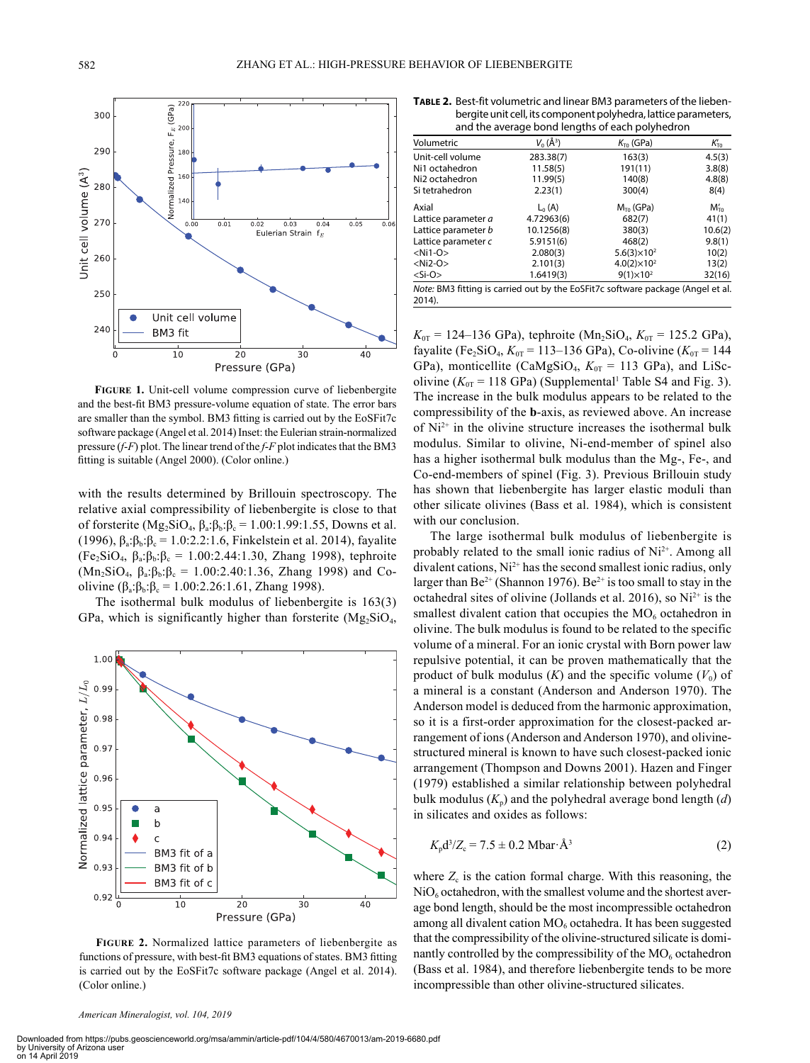

**Figure 1.** Unit-cell volume compression curve of liebenbergite and the best-fit BM3 pressure-volume equation of state. The error bars are smaller than the symbol. BM3 fitting is carried out by the EoSFit7c software package (Angel et al. 2014) Inset: the Eulerian strain-normalized pressure (*f*-*F*) plot. The linear trend of the *f*-*F* plot indicates that the BM3 fitting is suitable (Angel 2000). (Color online.)

with the results determined by Brillouin spectroscopy. The relative axial compressibility of liebenbergite is close to that of forsterite ( $Mg_2SiO_4$ ,  $\beta_a:\beta_b:\beta_c = 1.00:1.99:1.55$ , Downs et al. (1996),  $\beta_a:\beta_b:\beta_c = 1.0:2.2:1.6$ , Finkelstein et al. 2014), fayalite  $(Fe<sub>2</sub>SiO<sub>4</sub>, \beta<sub>a</sub>: \beta<sub>b</sub>: \beta<sub>c</sub> = 1.00:2.44:1.30, Zhang 1998), tephroite$ (Mn<sub>2</sub>SiO<sub>4</sub>,  $\beta_a:\beta_b:\beta_c = 1.00:2.40:1.36$ , Zhang 1998) and Coolivine  $(\beta_a:\beta_b:\beta_c = 1.00:2.26:1.61$ , Zhang 1998).

The isothermal bulk modulus of liebenbergite is 163(3) GPa, which is significantly higher than forsterite  $(Mg_2SiO<sub>4</sub>)$ 



**Figure 2.** Normalized lattice parameters of liebenbergite as functions of pressure, with best-fit BM3 equations of states. BM3 fitting is carried out by the EoSFit7c software package (Angel et al. 2014). (Color online.)

|                                                                                              |              | and the average bond lengths of each polyneuron |                  |
|----------------------------------------------------------------------------------------------|--------------|-------------------------------------------------|------------------|
| Volumetric                                                                                   | $V_0(\AA^3)$ | $K_{\text{To}}$ (GPa)                           | $K_{\text{TO}}'$ |
| Unit-cell volume                                                                             | 283.38(7)    | 163(3)                                          | 4.5(3)           |
| Ni1 octahedron                                                                               | 11.58(5)     | 191(11)                                         | 3.8(8)           |
| Ni <sub>2</sub> octahedron                                                                   | 11.99(5)     | 140(8)                                          | 4.8(8)           |
| Si tetrahedron                                                                               | 2.23(1)      | 300(4)                                          | 8(4)             |
| Axial                                                                                        | $L_{n}(A)$   | $M_{\tau_0}$ (GPa)                              | $M'_{\tau_0}$    |
| Lattice parameter a                                                                          | 4.72963(6)   | 682(7)                                          | 41(1)            |
| Lattice parameter b                                                                          | 10.1256(8)   | 380(3)                                          | 10.6(2)          |
| Lattice parameter c                                                                          | 5.9151(6)    | 468(2)                                          | 9.8(1)           |
| $<$ Ni1-O $>$                                                                                | 2.080(3)     | $5.6(3)\times10^{2}$                            | 10(2)            |
| $<$ Ni2-O $>$                                                                                | 2.101(3)     | $4.0(2) \times 10^{2}$                          | 13(2)            |
| $<$ Si-O $>$                                                                                 | 1.6419(3)    | $9(1) \times 10^2$                              | 32(16)           |
| Note: BM3 fitting is carried out by the EoSFit7c software package (Angel et al.<br>$2014$ ). |              |                                                 |                  |

 $K_{0T}$  = 124–136 GPa), tephroite (Mn<sub>2</sub>SiO<sub>4</sub>,  $K_{0T}$  = 125.2 GPa), fayalite (Fe<sub>2</sub>SiO<sub>4</sub>,  $K_{0T}$  = 113–136 GPa), Co-olivine ( $K_{0T}$  = 144 GPa), monticellite (CaMgSiO<sub>4</sub>,  $K_{0T}$  = 113 GPa), and LiScolivine ( $K_{0T}$  = 118 GPa) (Supplemental<sup>1</sup> Table S4 and Fig. 3). The increase in the bulk modulus appears to be related to the compressibility of the **b**-axis, as reviewed above. An increase of  $Ni<sup>2+</sup>$  in the olivine structure increases the isothermal bulk modulus. Similar to olivine, Ni-end-member of spinel also has a higher isothermal bulk modulus than the Mg-, Fe-, and Co-end-members of spinel (Fig. 3). Previous Brillouin study has shown that liebenbergite has larger elastic moduli than other silicate olivines (Bass et al. 1984), which is consistent with our conclusion.

The large isothermal bulk modulus of liebenbergite is probably related to the small ionic radius of Ni<sup>2+</sup>. Among all divalent cations, Ni<sup>2+</sup> has the second smallest ionic radius, only larger than  $Be^{2+}$  (Shannon 1976).  $Be^{2+}$  is too small to stay in the octahedral sites of olivine (Jollands et al. 2016), so  $Ni<sup>2+</sup>$  is the smallest divalent cation that occupies the  $MO<sub>6</sub>$  octahedron in olivine. The bulk modulus is found to be related to the specific volume of a mineral. For an ionic crystal with Born power law repulsive potential, it can be proven mathematically that the product of bulk modulus  $(K)$  and the specific volume  $(V_0)$  of a mineral is a constant (Anderson and Anderson 1970). The Anderson model is deduced from the harmonic approximation, so it is a first-order approximation for the closest-packed arrangement of ions (Anderson and Anderson 1970), and olivinestructured mineral is known to have such closest-packed ionic arrangement (Thompson and Downs 2001). Hazen and Finger (1979) established a similar relationship between polyhedral bulk modulus  $(K_n)$  and the polyhedral average bond length  $(d)$ in silicates and oxides as follows:

$$
K_{\rm p} d^3 / Z_{\rm c} = 7.5 \pm 0.2 \text{ Mbar} \cdot \text{\AA}^3 \tag{2}
$$

where  $Z_c$  is the cation formal charge. With this reasoning, the  $NiO<sub>6</sub> octahedron, with the smallest volume and the shortest aver$ age bond length, should be the most incompressible octahedron among all divalent cation  $MO<sub>6</sub>$  octahedra. It has been suggested that the compressibility of the olivine-structured silicate is dominantly controlled by the compressibility of the  $MO<sub>6</sub>$  octahedron (Bass et al. 1984), and therefore liebenbergite tends to be more incompressible than other olivine-structured silicates.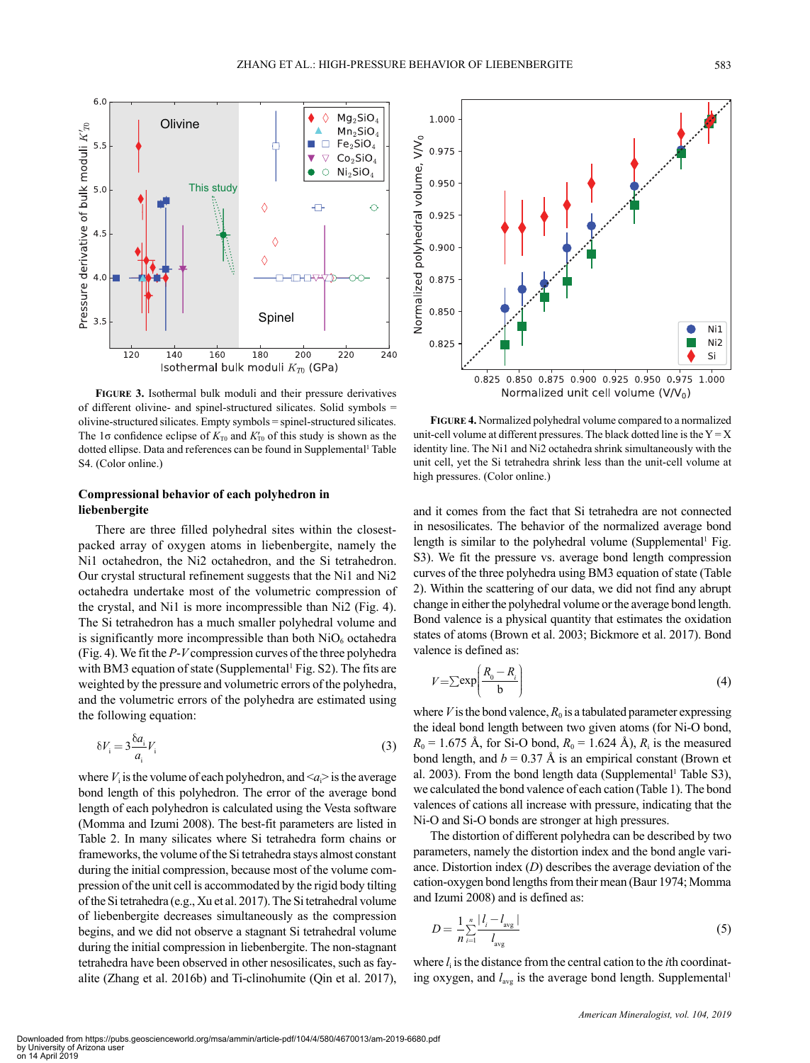

**Figure 3.** Isothermal bulk moduli and their pressure derivatives of different olivine- and spinel-structured silicates. Solid symbols = olivine-structured silicates. Empty symbols = spinel-structured silicates. The 1 $\sigma$  confidence eclipse of  $K_{\tau_0}$  and  $K'_{\tau_0}$  of this study is shown as the dotted ellipse. Data and references can be found in Supplemental<sup>1</sup> Table S4. (Color online.)

# **Compressional behavior of each polyhedron in liebenbergite**

There are three filled polyhedral sites within the closestpacked array of oxygen atoms in liebenbergite, namely the Ni1 octahedron, the Ni2 octahedron, and the Si tetrahedron. Our crystal structural refinement suggests that the Ni1 and Ni2 octahedra undertake most of the volumetric compression of the crystal, and Ni1 is more incompressible than Ni2 (Fig. 4). The Si tetrahedron has a much smaller polyhedral volume and is significantly more incompressible than both  $NiO<sub>6</sub>$  octahedra (Fig. 4). We fit the *P*-*V* compression curves of the three polyhedra with BM3 equation of state (Supplemental<sup>1</sup> Fig. S2). The fits are weighted by the pressure and volumetric errors of the polyhedra, and the volumetric errors of the polyhedra are estimated using the following equation:

$$
\delta V_i = 3 \frac{\delta a_i}{a_i} V_i \tag{3}
$$

where  $V_i$  is the volume of each polyhedron, and  $\langle a_i \rangle$  is the average bond length of this polyhedron. The error of the average bond length of each polyhedron is calculated using the Vesta software (Momma and Izumi 2008). The best-fit parameters are listed in Table 2. In many silicates where Si tetrahedra form chains or frameworks, the volume of the Si tetrahedra stays almost constant during the initial compression, because most of the volume compression of the unit cell is accommodated by the rigid body tilting of the Si tetrahedra (e.g., Xu et al. 2017). The Si tetrahedral volume of liebenbergite decreases simultaneously as the compression begins, and we did not observe a stagnant Si tetrahedral volume during the initial compression in liebenbergite. The non-stagnant tetrahedra have been observed in other nesosilicates, such as fayalite (Zhang et al. 2016b) and Ti-clinohumite (Qin et al. 2017),



**Figure 4.** Normalized polyhedral volume compared to a normalized unit-cell volume at different pressures. The black dotted line is the  $Y = X$ identity line. The Ni1 and Ni2 octahedra shrink simultaneously with the unit cell, yet the Si tetrahedra shrink less than the unit-cell volume at high pressures. (Color online.)

and it comes from the fact that Si tetrahedra are not connected in nesosilicates. The behavior of the normalized average bond length is similar to the polyhedral volume (Supplemental<sup>1</sup> Fig. S3). We fit the pressure vs. average bond length compression curves of the three polyhedra using BM3 equation of state (Table 2). Within the scattering of our data, we did not find any abrupt change in either the polyhedral volume or the average bond length. Bond valence is a physical quantity that estimates the oxidation states of atoms (Brown et al. 2003; Bickmore et al. 2017). Bond valence is defined as:

$$
V = \sum \exp\left(\frac{R_0 - R_i}{b}\right) \tag{4}
$$

where  $V$  is the bond valence,  $R_0$  is a tabulated parameter expressing the ideal bond length between two given atoms (for Ni-O bond,  $R_0 = 1.675$  Å, for Si-O bond,  $R_0 = 1.624$  Å),  $R_i$  is the measured bond length, and  $b = 0.37 \text{ Å}$  is an empirical constant (Brown et al. 2003). From the bond length data (Supplemental<sup>1</sup> Table S3), we calculated the bond valence of each cation (Table 1). The bond valences of cations all increase with pressure, indicating that the Ni-O and Si-O bonds are stronger at high pressures.

The distortion of different polyhedra can be described by two parameters, namely the distortion index and the bond angle variance. Distortion index (*D*) describes the average deviation of the cation-oxygen bond lengths from their mean (Baur 1974; Momma and Izumi 2008) and is defined as:

$$
D = \frac{1}{n} \sum_{i=1}^{n} \frac{|l_i - l_{\text{avg}}|}{l_{\text{avg}}}
$$
(5)

where  $l_i$  is the distance from the central cation to the *i*th coordinating oxygen, and  $l_{avg}$  is the average bond length. Supplemental<sup>1</sup>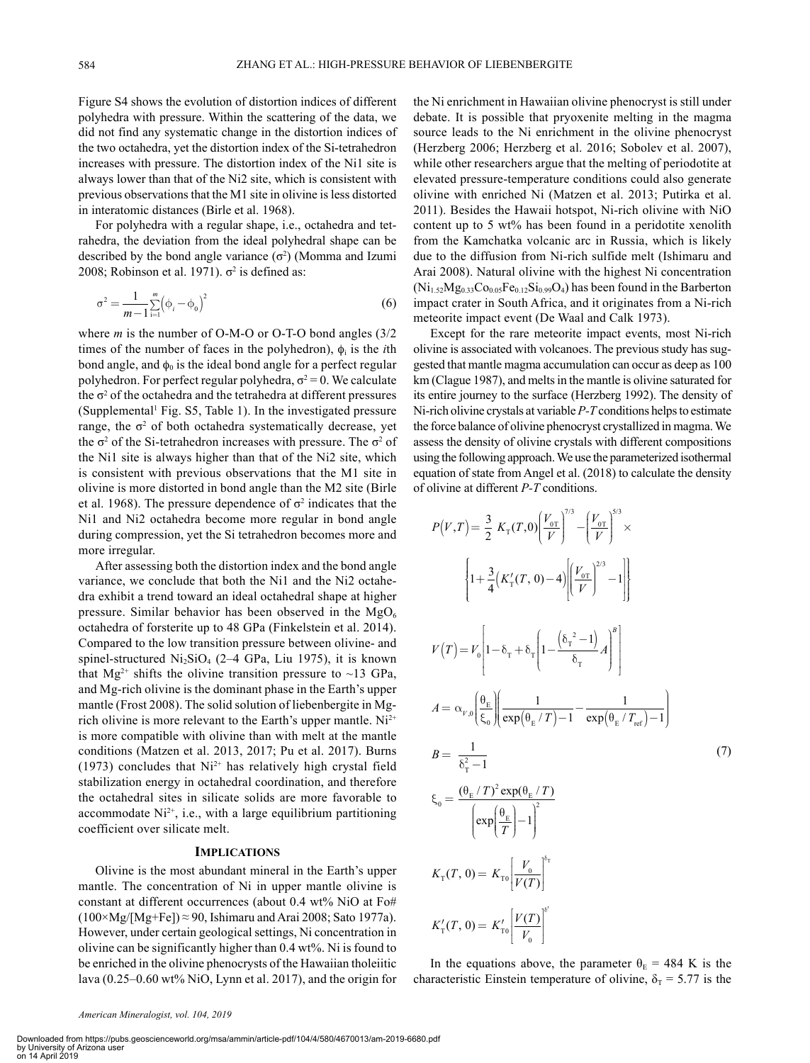Figure S4 shows the evolution of distortion indices of different polyhedra with pressure. Within the scattering of the data, we did not find any systematic change in the distortion indices of the two octahedra, yet the distortion index of the Si-tetrahedron increases with pressure. The distortion index of the Ni1 site is always lower than that of the Ni2 site, which is consistent with previous observations that the M1 site in olivine is less distorted in interatomic distances (Birle et al. 1968).

For polyhedra with a regular shape, i.e., octahedra and tetrahedra, the deviation from the ideal polyhedral shape can be described by the bond angle variance  $(\sigma^2)$  (Momma and Izumi 2008; Robinson et al. 1971).  $\sigma^2$  is defined as:

$$
\sigma^2 = \frac{1}{m-1} \sum_{i=1}^{m} (\phi_i - \phi_0)^2
$$
 (6)

where *m* is the number of O-M-O or O-T-O bond angles (3/2 times of the number of faces in the polyhedron),  $\phi_i$  is the *i*th bond angle, and  $\phi_0$  is the ideal bond angle for a perfect regular polyhedron. For perfect regular polyhedra,  $\sigma^2 = 0$ . We calculate the  $\sigma^2$  of the octahedra and the tetrahedra at different pressures (Supplemental<sup>1</sup> Fig. S5, Table 1). In the investigated pressure range, the  $\sigma^2$  of both octahedra systematically decrease, yet the  $\sigma^2$  of the Si-tetrahedron increases with pressure. The  $\sigma^2$  of the Ni1 site is always higher than that of the Ni2 site, which is consistent with previous observations that the M1 site in olivine is more distorted in bond angle than the M2 site (Birle et al. 1968). The pressure dependence of  $\sigma^2$  indicates that the Ni1 and Ni2 octahedra become more regular in bond angle during compression, yet the Si tetrahedron becomes more and more irregular.

After assessing both the distortion index and the bond angle ⎛ ⎞ After assessing both the distortion index and the bond angle<br>variance, we conclude that both the Ni1 and the Ni2 octahedra exhibit a trend toward an ideal octahedral shape at higher pressure. Similar behavior has been observed in the  $MgO_6$ octahedra of forsterite up to 48 GPa (Finkelstein et al. 2014). Compared to the low transition pressure between olivine- and spinel-structured  $Ni<sub>2</sub>SiO<sub>4</sub>$  (2–4 GPa, Liu 1975), it is known that Mg<sup>2+</sup> shifts the olivine transition pressure to ~13 GPa, and Mg-rich olivine is the dominant phase in the Earth's upper mantle (Frost 2008). The solid solution of liebenbergite in Mgrich olivine is more relevant to the Earth's upper mantle.  $Ni<sup>2+</sup>$ is more compatible with olivine than with melt at the mantle conditions (Matzen et al. 2013, 2017; Pu et al. 2017). Burns (1973) concludes that  $Ni^{2+}$  has relatively high crystal field stabilization energy in octahedral coordination, and therefore the octahedral sites in silicate solids are more favorable to accommodate  $Ni<sup>2+</sup>$ , i.e., with a large equilibrium partitioning coefficient over silicate melt.

## **Implications**

Olivine is the most abundant mineral in the Earth's upper mantle. The concentration of Ni in upper mantle olivine is constant at different occurrences (about 0.4 wt% NiO at Fo#  $(100 \times Mg/[Mg+Fe]) \approx 90$ , Ishimaru and Arai 2008; Sato 1977a). However, under certain geological settings, Ni concentration in olivine can be significantly higher than 0.4 wt%. Ni is found to be enriched in the olivine phenocrysts of the Hawaiian tholeiitic lava (0.25–0.60 wt% NiO, Lynn et al. 2017), and the origin for the Ni enrichment in Hawaiian olivine phenocryst is still under debate. It is possible that pryoxenite melting in the magma source leads to the Ni enrichment in the olivine phenocryst (Herzberg 2006; Herzberg et al. 2016; Sobolev et al. 2007), while other researchers argue that the melting of periodotite at elevated pressure-temperature conditions could also generate olivine with enriched Ni (Matzen et al. 2013; Putirka et al. 2011). Besides the Hawaii hotspot, Ni-rich olivine with NiO content up to 5 wt% has been found in a peridotite xenolith from the Kamchatka volcanic arc in Russia, which is likely due to the diffusion from Ni-rich sulfide melt (Ishimaru and Arai 2008). Natural olivine with the highest Ni concentration  $(Ni_{1.52}Mg_{0.33}Co_{0.05}Fe_{0.12}Si_{0.99}O_4)$  has been found in the Barberton impact crater in South Africa, and it originates from a Ni-rich meteorite impact event (De Waal and Calk 1973).

Except for the rare meteorite impact events, most Ni-rich olivine is associated with volcanoes. The previous study has suggested that mantle magma accumulation can occur as deep as 100 km (Clague 1987), and melts in the mantle is olivine saturated for its entire journey to the surface (Herzberg 1992). The density of Ni-rich olivine crystals at variable *P-T* conditions helps to estimate the force balance of olivine phenocryst crystallized in magma. We assess the density of olivine crystals with different compositions using the following approach. We use the parameterized isothermal equation of state from Angel et al. (2018) to calculate the density of olivine at different *P-T* conditions.

$$
P(V,T) = \frac{3}{2} K_{\rm T}(T,0) \left(\frac{V_{0T}}{V}\right)^{7/3} - \left(\frac{V_{0T}}{V}\right)^{5/3} \times
$$
  
\n
$$
\left\{1 + \frac{3}{4} (K_{\rm T}'(T,0) - 4) \left(\frac{V_{0T}}{V}\right)^{2/3} - 1\right\}
$$
  
\n
$$
V(T) = V_{0} \left[1 - \delta_{\rm T} + \delta_{\rm T} \left(1 - \frac{\left(\delta_{\rm T}^2 - 1\right)}{\delta_{\rm T}} A\right)^{B}\right]
$$
  
\n
$$
A = \alpha_{V,0} \left(\frac{\theta_{\rm E}}{\xi_{0}} \left(\frac{1}{\exp(\theta_{\rm E}/T) - 1} - \frac{1}{\exp(\theta_{\rm E}/T_{\rm ref}) - 1}\right)\right)
$$
  
\n
$$
B = \frac{1}{\delta_{\rm T}^2 - 1}
$$
  
\n
$$
\xi_{0} = \frac{\left(\theta_{\rm E}/T\right)^{2} \exp(\theta_{\rm E}/T)}{\left(\exp(\frac{\theta_{\rm E}}{T}) - 1\right)^{2}}
$$
  
\n
$$
K_{\rm T}(T, 0) = K_{\rm T0} \left(\frac{V_{0}}{V(T)}\right)^{\delta_{\rm T}}
$$
  
\n
$$
K_{\rm T}'(T, 0) = K_{\rm T0} \left(\frac{V(T)}{V_{0}}\right)^{\delta_{\rm T}'}
$$

In the equations above, the parameter  $\theta_{\rm E} = 484$  K is the characteristic Einstein temperature of olivine,  $\delta_{\rm T}$  = 5.77 is the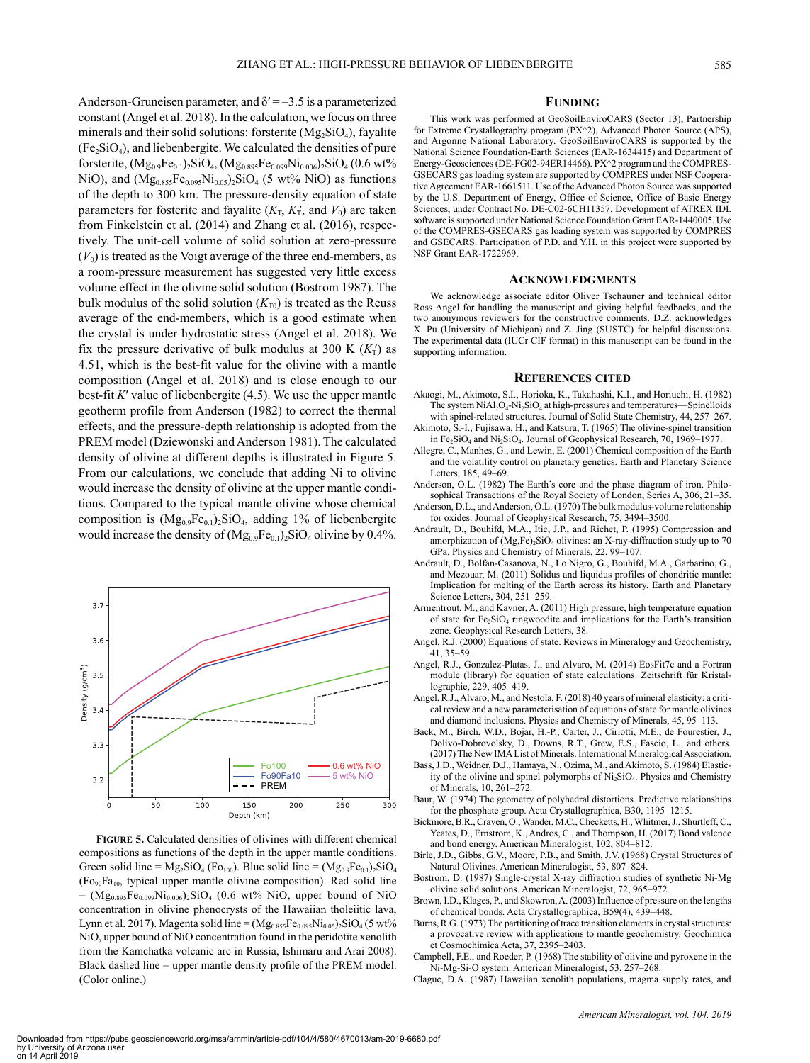**Funding**

This work was performed at GeoSoilEnviroCARS (Sector 13), Partnership for Extreme Crystallography program (PX^2), Advanced Photon Source (APS), and Argonne National Laboratory. GeoSoilEnviroCARS is supported by the National Science Foundation-Earth Sciences (EAR-1634415) and Department of Energy-Geosciences (DE-FG02-94ER14466). PX^2 program and the COMPRES-GSECARS gas loading system are supported by COMPRES under NSF Cooperative Agreement EAR-1661511. Use of the Advanced Photon Source was supported by the U.S. Department of Energy, Office of Science, Office of Basic Energy Sciences, under Contract No. DE-C02-6CH11357. Development of ATREX IDL software is supported under National Science Foundation Grant EAR-1440005. Use of the COMPRES-GSECARS gas loading system was supported by COMPRES and GSECARS. Participation of P.D. and Y.H. in this project were supported by NSF Grant EAR-1722969.

#### **Acknowledgments**

We acknowledge associate editor Oliver Tschauner and technical editor Ross Angel for handling the manuscript and giving helpful feedbacks, and the two anonymous reviewers for the constructive comments. D.Z. acknowledges X. Pu (University of Michigan) and Z. Jing (SUSTC) for helpful discussions. The experimental data (IUCr CIF format) in this manuscript can be found in the supporting information.

#### **References cited**

- Akaogi, M., Akimoto, S.I., Horioka, K., Takahashi, K.I., and Horiuchi, H. (1982) The system  $NiAl<sub>2</sub>O<sub>4</sub>-Ni<sub>2</sub>SiO<sub>4</sub>$  at high-pressures and temperatures—Spinelloids with spinel-related structures. Journal of Solid State Chemistry, 44, 257–267.
- Akimoto, S.-I., Fujisawa, H., and Katsura, T. (1965) The olivine-spinel transition in Fe<sub>2</sub>SiO<sub>4</sub> and Ni<sub>2</sub>SiO<sub>4</sub>. Journal of Geophysical Research, 70, 1969–1977. Allegre, C., Manhes, G., and Lewin, E. (2001) Chemical composition of the Earth
- and the volatility control on planetary genetics. Earth and Planetary Science Letters, 185, 49–69.
- Anderson, O.L. (1982) The Earth's core and the phase diagram of iron. Philosophical Transactions of the Royal Society of London, Series A, 306, 21–35.
- Anderson, D.L., and Anderson, O.L. (1970) The bulk modulus-volume relationship for oxides. Journal of Geophysical Research, 75, 3494–3500.
- Andrault, D., Bouhifd, M.A., Itie, J.P., and Richet, P. (1995) Compression and amorphization of  $(Mg,Fe)_{2}SiO_{4}$  olivines: an X-ray-diffraction study up to 70 GPa. Physics and Chemistry of Minerals, 22, 99–107.
- Andrault, D., Bolfan-Casanova, N., Lo Nigro, G., Bouhifd, M.A., Garbarino, G., and Mezouar, M. (2011) Solidus and liquidus profiles of chondritic mantle: Implication for melting of the Earth across its history. Earth and Planetary Science Letters, 304, 251–259.
- Armentrout, M., and Kavner, A. (2011) High pressure, high temperature equation of state for Fe<sub>2</sub>SiO<sub>4</sub> ringwoodite and implications for the Earth's transition zone. Geophysical Research Letters, 38.
- Angel, R.J. (2000) Equations of state. Reviews in Mineralogy and Geochemistry, 41, 35–59.
- Angel, R.J., Gonzalez-Platas, J., and Alvaro, M. (2014) EosFit7c and a Fortran module (library) for equation of state calculations. Zeitschrift für Kristallographie, 229, 405–419.
- Angel, R.J., Alvaro, M., and Nestola, F. (2018) 40 years of mineral elasticity: a critical review and a new parameterisation of equations of state for mantle olivines and diamond inclusions. Physics and Chemistry of Minerals, 45, 95–113.
- Back, M., Birch, W.D., Bojar, H.-P., Carter, J., Ciriotti, M.E., de Fourestier, J., Dolivo-Dobrovolsky, D., Downs, R.T., Grew, E.S., Fascio, L., and others. (2017) The New IMA List of Minerals. International Mineralogical Association.
- Bass, J.D., Weidner, D.J., Hamaya, N., Ozima, M., and Akimoto, S. (1984) Elasticity of the olivine and spinel polymorphs of Ni<sub>2</sub>SiO<sub>4</sub>. Physics and Chemistry of Minerals, 10, 261–272.
- Baur, W. (1974) The geometry of polyhedral distortions. Predictive relationships for the phosphate group. Acta Crystallographica, B30, 1195–1215.
- Bickmore, B.R., Craven, O., Wander, M.C., Checketts, H., Whitmer, J., Shurtleff, C., Yeates, D., Ernstrom, K., Andros, C., and Thompson, H. (2017) Bond valence and bond energy. American Mineralogist, 102, 804–812.
- Birle, J.D., Gibbs, G.V., Moore, P.B., and Smith, J.V. (1968) Crystal Structures of Natural Olivines. American Mineralogist, 53, 807–824.
- Bostrom, D. (1987) Single-crystal X-ray diffraction studies of synthetic Ni-Mg olivine solid solutions. American Mineralogist, 72, 965–972.
- Brown, I.D., Klages, P., and Skowron, A. (2003) Influence of pressure on the lengths of chemical bonds. Acta Crystallographica, B59(4), 439–448.
- Burns, R.G. (1973) The partitioning of trace transition elements in crystal structures: a provocative review with applications to mantle geochemistry. Geochimica et Cosmochimica Acta, 37, 2395–2403.
- Campbell, F.E., and Roeder, P. (1968) The stability of olivine and pyroxene in the Ni-Mg-Si-O system. American Mineralogist, 53, 257–268.
- Clague, D.A. (1987) Hawaiian xenolith populations, magma supply rates, and

Downloaded from https://pubs.geoscienceworld.org/msa/ammin/article-pdf/104/4/580/4670013/am-2019-6680.pdf by University of Arizona user on 14 April 2019

(Color online.)

 $50$ 

100

**Figure 5.** Calculated densities of olivines with different chemical compositions as functions of the depth in the upper mantle conditions. Green solid line =  $Mg_2SiO_4$  (Fo<sub>100</sub>). Blue solid line =  $(Mg_{0.9}Fe_{0.1})_2SiO_4$  $(Fo<sub>90</sub>Fa<sub>10</sub>$ , typical upper mantle olivine composition). Red solid line  $= (Mg_{0.895}Fe_{0.099}Ni_{0.006})_2SiO_4$  (0.6 wt% NiO, upper bound of NiO concentration in olivine phenocrysts of the Hawaiian tholeiitic lava, Lynn et al. 2017). Magenta solid line =  $(Mg_{0.855}Fe_{0.095}Ni_{0.05})_2SiO_4$  (5 wt% NiO, upper bound of NiO concentration found in the peridotite xenolith from the Kamchatka volcanic arc in Russia, Ishimaru and Arai 2008). Black dashed line = upper mantle density profile of the PREM model.

150

Depth (km)

200

250

300

4.51, which is the best-fit value for the olivine with a mantle composition (Angel et al. 2018) and is close enough to our best-fit *K*ʹ value of liebenbergite (4.5). We use the upper mantle geotherm profile from Anderson (1982) to correct the thermal effects, and the pressure-depth relationship is adopted from the PREM model (Dziewonski and Anderson 1981). The calculated density of olivine at different depths is illustrated in Figure 5. From our calculations, we conclude that adding Ni to olivine would increase the density of olivine at the upper mantle conditions. Compared to the typical mantle olivine whose chemical composition is  $(Mg_{0.9}Fe_{0.1})_2SiO_4$ , adding 1% of liebenbergite would increase the density of  $(Mg_{0.9}Fe_{0.1})_2SiO_4$  olivine by 0.4%.  $3.7$  $3.6$ Density (g/cm<sup>3</sup>)  $3.5$  $3.4$  $3.3$ Fo100 0.6 wt% NiO Fo90Fa10 5 wt% NiO  $3.2$ PREM

Anderson-Gruneisen parameter, and  $\delta' = -3.5$  is a parameterized constant (Angel et al. 2018). In the calculation, we focus on three minerals and their solid solutions: forsterite  $(Mg_2SiO<sub>4</sub>)$ , fayalite  $(Fe<sub>2</sub>SiO<sub>4</sub>)$ , and liebenbergite. We calculated the densities of pure forsterite,  $(Mg_{0.9}Fe_{0.1})_2SiO_4$ ,  $(Mg_{0.895}Fe_{0.099}Ni_{0.006})_2SiO_4$  (0.6 wt% NiO), and  $(Mg_{0.855}Fe_{0.095}Ni_{0.05})_2SiO_4$  (5 wt% NiO) as functions of the depth to 300 km. The pressure-density equation of state parameters for fosterite and fayalite  $(K_T, K'_T,$  and  $V_0$ ) are taken from Finkelstein et al. (2014) and Zhang et al. (2016), respectively. The unit-cell volume of solid solution at zero-pressure  $(V_0)$  is treated as the Voigt average of the three end-members, as a room-pressure measurement has suggested very little excess volume effect in the olivine solid solution (Bostrom 1987). The bulk modulus of the solid solution  $(K_{T0})$  is treated as the Reuss average of the end-members, which is a good estimate when the crystal is under hydrostatic stress (Angel et al. 2018). We fix the pressure derivative of bulk modulus at 300 K  $(K<sub>T</sub>)$  as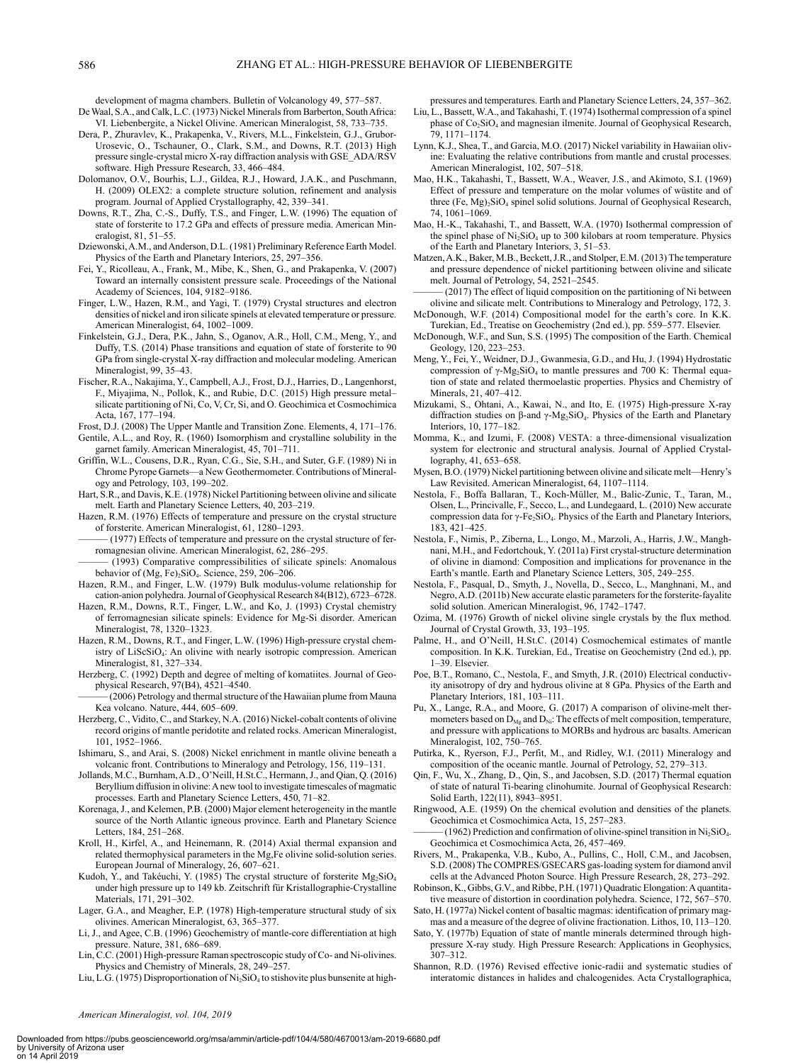development of magma chambers. Bulletin of Volcanology 49, 577–587.

- De Waal, S.A., and Calk, L.C. (1973) Nickel Minerals from Barberton, South Africa: VI. Liebenbergite, a Nickel Olivine. American Mineralogist, 58, 733–735.
- Dera, P., Zhuravlev, K., Prakapenka, V., Rivers, M.L., Finkelstein, G.J., Grubor-Urosevic, O., Tschauner, O., Clark, S.M., and Downs, R.T. (2013) High pressure single-crystal micro X-ray diffraction analysis with GSE\_ADA/RSV software. High Pressure Research, 33, 466–484.
- Dolomanov, O.V., Bourhis, L.J., Gildea, R.J., Howard, J.A.K., and Puschmann, H. (2009) OLEX2: a complete structure solution, refinement and analysis program. Journal of Applied Crystallography, 42, 339–341.
- Downs, R.T., Zha, C.-S., Duffy, T.S., and Finger, L.W. (1996) The equation of state of forsterite to 17.2 GPa and effects of pressure media. American Mineralogist, 81, 51–55.
- Dziewonski, A.M., and Anderson, D.L. (1981) Preliminary Reference Earth Model. Physics of the Earth and Planetary Interiors, 25, 297–356.
- Fei, Y., Ricolleau, A., Frank, M., Mibe, K., Shen, G., and Prakapenka, V. (2007) Toward an internally consistent pressure scale. Proceedings of the National Academy of Sciences, 104, 9182–9186.
- Finger, L.W., Hazen, R.M., and Yagi, T. (1979) Crystal structures and electron densities of nickel and iron silicate spinels at elevated temperature or pressure. American Mineralogist, 64, 1002–1009.
- Finkelstein, G.J., Dera, P.K., Jahn, S., Oganov, A.R., Holl, C.M., Meng, Y., and Duffy, T.S. (2014) Phase transitions and equation of state of forsterite to 90 GPa from single-crystal X-ray diffraction and molecular modeling. American Mineralogist, 99, 35–43.
- Fischer, R.A., Nakajima, Y., Campbell, A.J., Frost, D.J., Harries, D., Langenhorst, F., Miyajima, N., Pollok, K., and Rubie, D.C. (2015) High pressure metal– silicate partitioning of Ni, Co, V, Cr, Si, and O. Geochimica et Cosmochimica Acta, 167, 177–194.
- Frost, D.J. (2008) The Upper Mantle and Transition Zone. Elements, 4, 171–176. Gentile, A.L., and Roy, R. (1960) Isomorphism and crystalline solubility in the
- garnet family. American Mineralogist, 45, 701–711. Griffin, W.L., Cousens, D.R., Ryan, C.G., Sie, S.H., and Suter, G.F. (1989) Ni in Chrome Pyrope Garnets—a New Geothermometer. Contributions of Mineralogy and Petrology, 103, 199–202.
- Hart, S.R., and Davis, K.E. (1978) Nickel Partitioning between olivine and silicate melt. Earth and Planetary Science Letters, 40, 203–219.
- Hazen, R.M. (1976) Effects of temperature and pressure on the crystal structure of forsterite. American Mineralogist, 61, 1280–1293.
- (1977) Effects of temperature and pressure on the crystal structure of ferromagnesian olivine. American Mineralogist, 62, 286–295.
- (1993) Comparative compressibilities of silicate spinels: Anomalous behavior of  $(Mg, Fe)_{2}SiO<sub>4</sub>$ . Science, 259, 206–206.
- Hazen, R.M., and Finger, L.W. (1979) Bulk modulus-volume relationship for cation-anion polyhedra. Journal of Geophysical Research 84(B12), 6723–6728.
- Hazen, R.M., Downs, R.T., Finger, L.W., and Ko, J. (1993) Crystal chemistry of ferromagnesian silicate spinels: Evidence for Mg-Si disorder. American Mineralogist, 78, 1320–1323.
- Hazen, R.M., Downs, R.T., and Finger, L.W. (1996) High-pressure crystal chemistry of LiScSiO4: An olivine with nearly isotropic compression. American Mineralogist, 81, 327–334.
- Herzberg, C. (1992) Depth and degree of melting of komatiites. Journal of Geophysical Research, 97(B4), 4521–4540.

(2006) Petrology and thermal structure of the Hawaiian plume from Mauna Kea volcano. Nature, 444, 605–609.

- Herzberg, C., Vidito, C., and Starkey, N.A. (2016) Nickel-cobalt contents of olivine record origins of mantle peridotite and related rocks. American Mineralogist, 101, 1952–1966.
- Ishimaru, S., and Arai, S. (2008) Nickel enrichment in mantle olivine beneath a volcanic front. Contributions to Mineralogy and Petrology, 156, 119–131.
- Jollands, M.C., Burnham, A.D., O'Neill, H.St.C., Hermann, J., and Qian, Q. (2016) Beryllium diffusion in olivine: A new tool to investigate timescales of magmatic processes. Earth and Planetary Science Letters, 450, 71–82.
- Korenaga, J., and Kelemen, P.B. (2000) Major element heterogeneity in the mantle source of the North Atlantic igneous province. Earth and Planetary Science Letters, 184, 251–268.
- Kroll, H., Kirfel, A., and Heinemann, R. (2014) Axial thermal expansion and related thermophysical parameters in the Mg,Fe olivine solid-solution series. European Journal of Mineralogy, 26, 607–621.
- Kudoh, Y., and Takéuchi, Y. (1985) The crystal structure of forsterite Mg<sub>2</sub>SiO<sub>4</sub> under high pressure up to 149 kb. Zeitschrift für Kristallographie-Crystalline Materials, 171, 291–302.
- Lager, G.A., and Meagher, E.P. (1978) High-temperature structural study of six olivines. American Mineralogist, 63, 365–377.
- Li, J., and Agee, C.B. (1996) Geochemistry of mantle-core differentiation at high pressure. Nature, 381, 686–689.
- Lin, C.C. (2001) High-pressure Raman spectroscopic study of Co- and Ni-olivines. Physics and Chemistry of Minerals, 28, 249–257.
- Liu, L.G. (1975) Disproportionation of  $Ni<sub>2</sub>SiO<sub>4</sub>$  to stishovite plus bunsenite at high-

pressures and temperatures. Earth and Planetary Science Letters, 24, 357–362.

- Liu, L., Bassett, W.A., and Takahashi, T. (1974) Isothermal compression of a spinel phase of Co2SiO4 and magnesian ilmenite. Journal of Geophysical Research, 79, 1171–1174.
- Lynn, K.J., Shea, T., and Garcia, M.O. (2017) Nickel variability in Hawaiian olivine: Evaluating the relative contributions from mantle and crustal processes. American Mineralogist, 102, 507–518.
- Mao, H.K., Takahashi, T., Bassett, W.A., Weaver, J.S., and Akimoto, S.I. (1969) Effect of pressure and temperature on the molar volumes of wüstite and of three (Fe, Mg)<sub>2</sub>SiO<sub>4</sub> spinel solid solutions. Journal of Geophysical Research, 74, 1061–1069.
- Mao, H.-K., Takahashi, T., and Bassett, W.A. (1970) Isothermal compression of the spinel phase of  $Ni<sub>2</sub>SiO<sub>4</sub>$  up to 300 kilobars at room temperature. Physics of the Earth and Planetary Interiors, 3, 51–53.
- Matzen, A.K., Baker, M.B., Beckett, J.R., and Stolper, E.M. (2013) The temperature and pressure dependence of nickel partitioning between olivine and silicate melt. Journal of Petrology, 54, 2521–2545.
- (2017) The effect of liquid composition on the partitioning of Ni between olivine and silicate melt. Contributions to Mineralogy and Petrology, 172, 3.
- McDonough, W.F. (2014) Compositional model for the earth's core. In K.K. Turekian, Ed., Treatise on Geochemistry (2nd ed.), pp. 559–577. Elsevier.
- McDonough, W.F., and Sun, S.S. (1995) The composition of the Earth. Chemical Geology, 120, 223–253.
- Meng, Y., Fei, Y., Weidner, D.J., Gwanmesia, G.D., and Hu, J. (1994) Hydrostatic compression of  $γ$ -Mg<sub>2</sub>SiO<sub>4</sub> to mantle pressures and 700 K: Thermal equation of state and related thermoelastic properties. Physics and Chemistry of Minerals, 21, 407–412.
- Mizukami, S., Ohtani, A., Kawai, N., and Ito, E. (1975) High-pressure X-ray diffraction studies on β-and γ-Mg<sub>2</sub>SiO<sub>4</sub>. Physics of the Earth and Planetary Interiors, 10, 177–182.
- Momma, K., and Izumi, F. (2008) VESTA: a three-dimensional visualization system for electronic and structural analysis. Journal of Applied Crystallography, 41, 653–658.
- Mysen, B.O. (1979) Nickel partitioning between olivine and silicate melt—Henry's Law Revisited. American Mineralogist, 64, 1107–1114.
- Nestola, F., Boffa Ballaran, T., Koch-Müller, M., Balic-Zunic, T., Taran, M., Olsen, L., Princivalle, F., Secco, L., and Lundegaard, L. (2010) New accurate compression data for γ-Fe<sub>2</sub>SiO<sub>4</sub>. Physics of the Earth and Planetary Interiors, 183, 421–425.
- Nestola, F., Nimis, P., Ziberna, L., Longo, M., Marzoli, A., Harris, J.W., Manghnani, M.H., and Fedortchouk, Y. (2011a) First crystal-structure determination of olivine in diamond: Composition and implications for provenance in the Earth's mantle. Earth and Planetary Science Letters, 305, 249–255.
- Nestola, F., Pasqual, D., Smyth, J., Novella, D., Secco, L., Manghnani, M., and Negro, A.D. (2011b) New accurate elastic parameters for the forsterite-fayalite solid solution. American Mineralogist, 96, 1742–1747.
- Ozima, M. (1976) Growth of nickel olivine single crystals by the flux method. Journal of Crystal Growth, 33, 193–195.
- Palme, H., and O'Neill, H.St.C. (2014) Cosmochemical estimates of mantle composition. In K.K. Turekian, Ed., Treatise on Geochemistry (2nd ed.), pp. 1–39. Elsevier.
- Poe, B.T., Romano, C., Nestola, F., and Smyth, J.R. (2010) Electrical conductivity anisotropy of dry and hydrous olivine at 8 GPa. Physics of the Earth and Planetary Interiors, 181, 103–111.
- Pu, X., Lange, R.A., and Moore, G. (2017) A comparison of olivine-melt thermometers based on  $D_{Mg}$  and  $D_{Ni}$ . The effects of melt composition, temperature, and pressure with applications to MORBs and hydrous arc basalts. American Mineralogist, 102, 750–765.
- Putirka, K., Ryerson, F.J., Perfit, M., and Ridley, W.I. (2011) Mineralogy and composition of the oceanic mantle. Journal of Petrology, 52, 279–313.
- Qin, F., Wu, X., Zhang, D., Qin, S., and Jacobsen, S.D. (2017) Thermal equation of state of natural Ti-bearing clinohumite. Journal of Geophysical Research: Solid Earth, 122(11), 8943–8951.
- Ringwood, A.E. (1959) On the chemical evolution and densities of the planets. Geochimica et Cosmochimica Acta, 15, 257–283.
- $(1962)$  Prediction and confirmation of olivine-spinel transition in Ni<sub>2</sub>SiO<sub>4</sub>. Geochimica et Cosmochimica Acta, 26, 457–469.
- Rivers, M., Prakapenka, V.B., Kubo, A., Pullins, C., Holl, C.M., and Jacobsen, S.D. (2008) The COMPRES/GSECARS gas-loading system for diamond anvil cells at the Advanced Photon Source. High Pressure Research, 28, 273–292.
- Robinson, K., Gibbs, G.V., and Ribbe, P.H. (1971) Quadratic Elongation: A quantitative measure of distortion in coordination polyhedra. Science, 172, 567–570.
- Sato, H. (1977a) Nickel content of basaltic magmas: identification of primary magmas and a measure of the degree of olivine fractionation. Lithos, 10, 113–120.
- Sato, Y. (1977b) Equation of state of mantle minerals determined through highpressure X-ray study. High Pressure Research: Applications in Geophysics, 307–312.
- Shannon, R.D. (1976) Revised effective ionic-radii and systematic studies of interatomic distances in halides and chalcogenides. Acta Crystallographica,